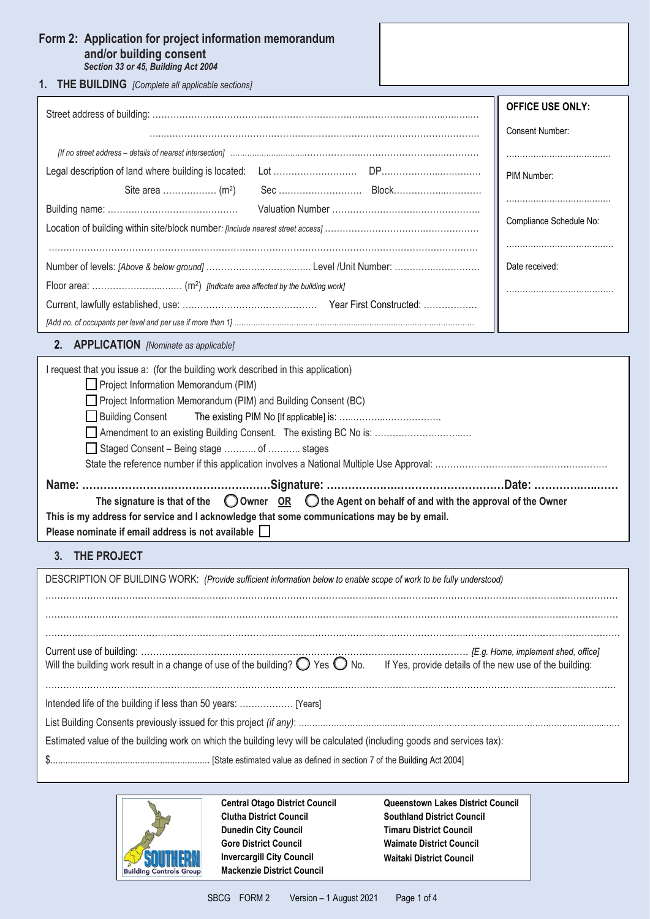# **Form 2: Application for project information memorandum and/or building consent** *Section 33 or 45, Building Act 2004*

**1. THE BUILDING** *[Complete all applicable sections]*

|                                                   | <b>OFFICE USE ONLY:</b> |
|---------------------------------------------------|-------------------------|
|                                                   | <b>Consent Number:</b>  |
|                                                   |                         |
|                                                   | PIM Number:             |
|                                                   |                         |
|                                                   |                         |
|                                                   | Compliance Schedule No: |
|                                                   |                         |
|                                                   | Date received:          |
|                                                   |                         |
|                                                   |                         |
|                                                   |                         |
| 2.<br><b>APPLICATION</b> [Nominate as applicable] |                         |

| I request that you issue a: (for the building work described in this application)                                     |
|-----------------------------------------------------------------------------------------------------------------------|
| Project Information Memorandum (PIM)                                                                                  |
| Project Information Memorandum (PIM) and Building Consent (BC)                                                        |
|                                                                                                                       |
|                                                                                                                       |
| Staged Consent - Being stage  of  stages                                                                              |
|                                                                                                                       |
|                                                                                                                       |
| The signature is that of the $\bigcirc$ Owner OR $\bigcirc$ the Agent on behalf of and with the approval of the Owner |
| This is my address for service and I acknowledge that some communications may be by email.                            |
| Please nominate if email address is not available                                                                     |

**3. THE PROJECT**

| DESCRIPTION OF BUILDING WORK: (Provide sufficient information below to enable scope of work to be fully understood)                                     |  |  |  |  |
|---------------------------------------------------------------------------------------------------------------------------------------------------------|--|--|--|--|
|                                                                                                                                                         |  |  |  |  |
|                                                                                                                                                         |  |  |  |  |
| Will the building work result in a change of use of the building? $\bigcirc$ Yes $\bigcirc$ No. If Yes, provide details of the new use of the building: |  |  |  |  |
|                                                                                                                                                         |  |  |  |  |
|                                                                                                                                                         |  |  |  |  |
| Estimated value of the building work on which the building levy will be calculated (including goods and services tax):                                  |  |  |  |  |
|                                                                                                                                                         |  |  |  |  |



**Central Otago District Council Clutha District Council Dunedin City Council Gore District Council Invercargill City Council Mackenzie District Council**

**Queenstown Lakes District Council Southland District Council Timaru District Council Waimate District Council Waitaki District Council**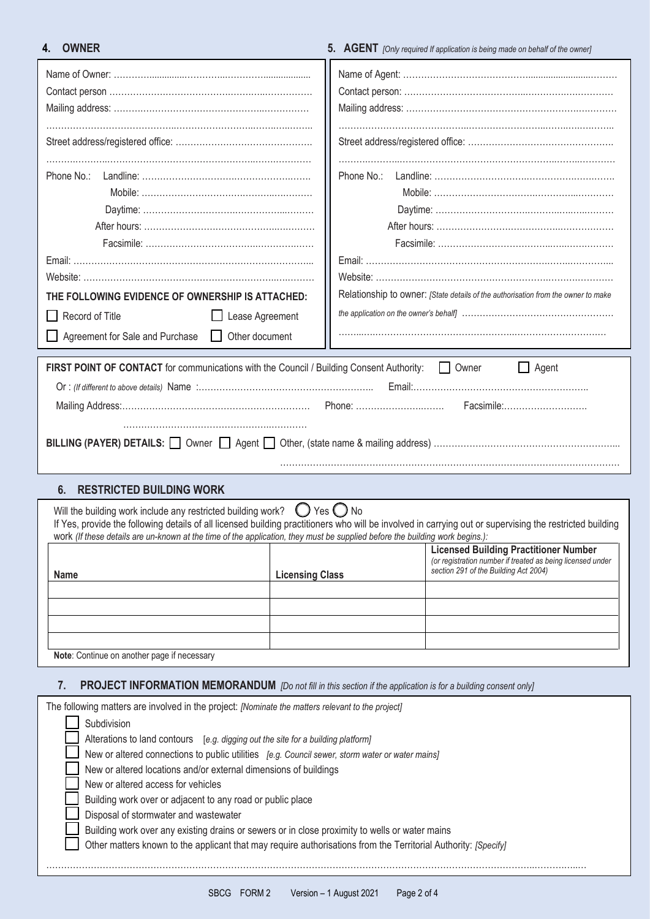# **4. OWNER 5. AGENT** *[Only required If application is being made on behalf of the owner]*

| Relationship to owner: [State details of the authorisation from the owner to make<br>THE FOLLOWING EVIDENCE OF OWNERSHIP IS ATTACHED:                                                                                                                                                                                                                    |                              |                                                                                                                                                     |  |
|----------------------------------------------------------------------------------------------------------------------------------------------------------------------------------------------------------------------------------------------------------------------------------------------------------------------------------------------------------|------------------------------|-----------------------------------------------------------------------------------------------------------------------------------------------------|--|
| Record of Title<br>Lease Agreement                                                                                                                                                                                                                                                                                                                       |                              |                                                                                                                                                     |  |
| Agreement for Sale and Purchase<br>Other document                                                                                                                                                                                                                                                                                                        |                              |                                                                                                                                                     |  |
| FIRST POINT OF CONTACT for communications with the Council / Building Consent Authority:  Cowner<br>$\Box$ Agent<br>Facsimile:                                                                                                                                                                                                                           |                              |                                                                                                                                                     |  |
| <b>RESTRICTED BUILDING WORK</b><br>6.                                                                                                                                                                                                                                                                                                                    |                              |                                                                                                                                                     |  |
| Will the building work include any restricted building work?<br>If Yes, provide the following details of all licensed building practitioners who will be involved in carrying out or supervising the restricted building<br>work (If these details are un-known at the time of the application, they must be supplied before the building work begins.): | $\bigcirc$ Yes $\bigcirc$ No |                                                                                                                                                     |  |
| Name                                                                                                                                                                                                                                                                                                                                                     | <b>Licensing Class</b>       | <b>Licensed Building Practitioner Number</b><br>(or registration number if treated as being licensed under<br>section 291 of the Building Act 2004) |  |
|                                                                                                                                                                                                                                                                                                                                                          |                              |                                                                                                                                                     |  |
|                                                                                                                                                                                                                                                                                                                                                          |                              |                                                                                                                                                     |  |
|                                                                                                                                                                                                                                                                                                                                                          |                              |                                                                                                                                                     |  |
|                                                                                                                                                                                                                                                                                                                                                          |                              |                                                                                                                                                     |  |
| Note: Continue on another page if necessary                                                                                                                                                                                                                                                                                                              |                              |                                                                                                                                                     |  |
| <b>PROJECT INFORMATION MEMORANDUM</b> [Do not fill in this section if the application is for a building consent only]<br>7.                                                                                                                                                                                                                              |                              |                                                                                                                                                     |  |

| The following matters are involved in the project: [Nominate the matters relevant to the project]              |
|----------------------------------------------------------------------------------------------------------------|
| Subdivision                                                                                                    |
| Alterations to land contours [e.g. digging out the site for a building platform]                               |
| New or altered connections to public utilities [e.g. Council sewer, storm water or water mains]                |
| New or altered locations and/or external dimensions of buildings                                               |
| New or altered access for vehicles                                                                             |
| Building work over or adjacent to any road or public place                                                     |
| Disposal of stormwater and wastewater                                                                          |
| Building work over any existing drains or sewers or in close proximity to wells or water mains                 |
| Other matters known to the applicant that may require authorisations from the Territorial Authority: [Specify] |
|                                                                                                                |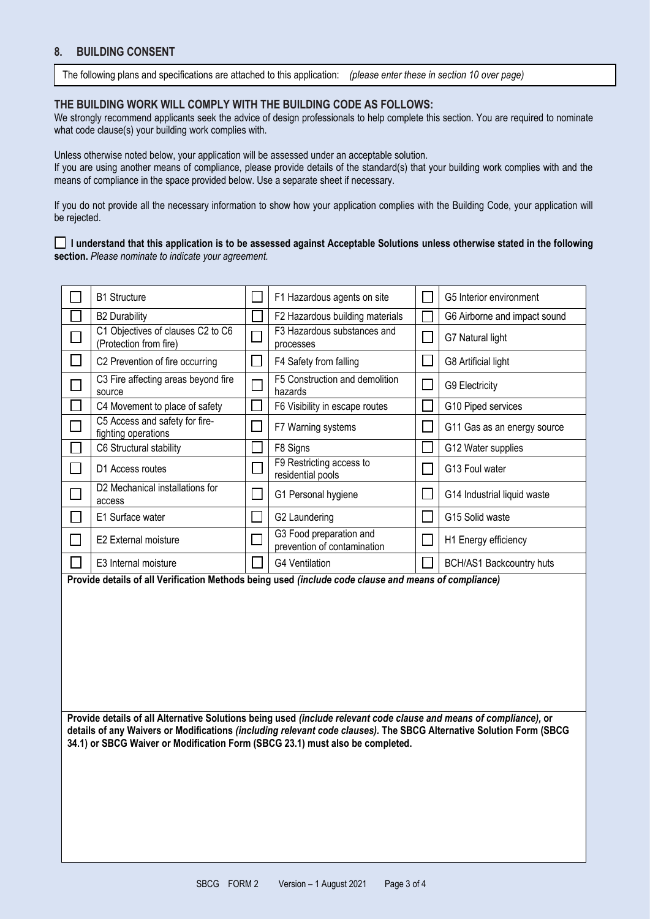## **8. BUILDING CONSENT**

The following plans and specifications are attached to this application: *(please enter these in section 10 over page)*

### **THE BUILDING WORK WILL COMPLY WITH THE BUILDING CODE AS FOLLOWS:**

We strongly recommend applicants seek the advice of design professionals to help complete this section. You are required to nominate what code clause(s) your building work complies with.

Unless otherwise noted below, your application will be assessed under an acceptable solution. If you are using another means of compliance, please provide details of the standard(s) that your building work complies with and the means of compliance in the space provided below. Use a separate sheet if necessary.

If you do not provide all the necessary information to show how your application complies with the Building Code, your application will be rejected.

### **I understand that this application is to be assessed against Acceptable Solutions unless otherwise stated in the following section.** *Please nominate to indicate your agreement.*

|               | <b>B1 Structure</b>                                                                                  | L                           | F1 Hazardous agents on site                            |                          | G5 Interior environment      |
|---------------|------------------------------------------------------------------------------------------------------|-----------------------------|--------------------------------------------------------|--------------------------|------------------------------|
|               | <b>B2 Durability</b>                                                                                 |                             | F2 Hazardous building materials                        |                          | G6 Airborne and impact sound |
|               | C1 Objectives of clauses C2 to C6<br>(Protection from fire)                                          |                             | F3 Hazardous substances and<br>processes               | L.                       | G7 Natural light             |
|               | C2 Prevention of fire occurring                                                                      | $\mathbf{I}$                | F4 Safety from falling                                 | $\overline{\phantom{a}}$ | G8 Artificial light          |
|               | C3 Fire affecting areas beyond fire<br>source                                                        | Г                           | F5 Construction and demolition<br>hazards              | $\mathbb{R}^n$           | G9 Electricity               |
|               | C4 Movement to place of safety                                                                       |                             | F6 Visibility in escape routes                         |                          | G10 Piped services           |
|               | C5 Access and safety for fire-<br>fighting operations                                                | $\mathbb{R}^n$              | F7 Warning systems                                     | e.                       | G11 Gas as an energy source  |
|               | C6 Structural stability                                                                              |                             | F8 Signs                                               |                          | G12 Water supplies           |
| $\sim$        | D1 Access routes                                                                                     | $\mathcal{L}_{\mathcal{A}}$ | F9 Restricting access to<br>residential pools          |                          | G13 Foul water               |
|               | D2 Mechanical installations for<br>access                                                            | $\Box$                      | G1 Personal hygiene                                    | $\mathbf{L}$             | G14 Industrial liquid waste  |
|               | E1 Surface water                                                                                     | $\mathbf{L}$                | G2 Laundering                                          | M                        | G15 Solid waste              |
| $\mathcal{L}$ | E2 External moisture                                                                                 |                             | G3 Food preparation and<br>prevention of contamination | M                        | H1 Energy efficiency         |
|               | E3 Internal moisture                                                                                 |                             | <b>G4 Ventilation</b>                                  |                          | BCH/AS1 Backcountry huts     |
|               | Provide details of all Verification Methods being used (include code clause and means of compliance) |                             |                                                        |                          |                              |
|               |                                                                                                      |                             |                                                        |                          |                              |
|               |                                                                                                      |                             |                                                        |                          |                              |
|               |                                                                                                      |                             |                                                        |                          |                              |
|               |                                                                                                      |                             |                                                        |                          |                              |
|               |                                                                                                      |                             |                                                        |                          |                              |
|               |                                                                                                      |                             |                                                        |                          |                              |
|               |                                                                                                      |                             |                                                        |                          |                              |

**Provide details of all Alternative Solutions being used** *(include relevant code clause and means of compliance),* **or details of any Waivers or Modifications** *(including relevant code clauses).* **The SBCG Alternative Solution Form (SBCG 34.1) or SBCG Waiver or Modification Form (SBCG 23.1) must also be completed.**